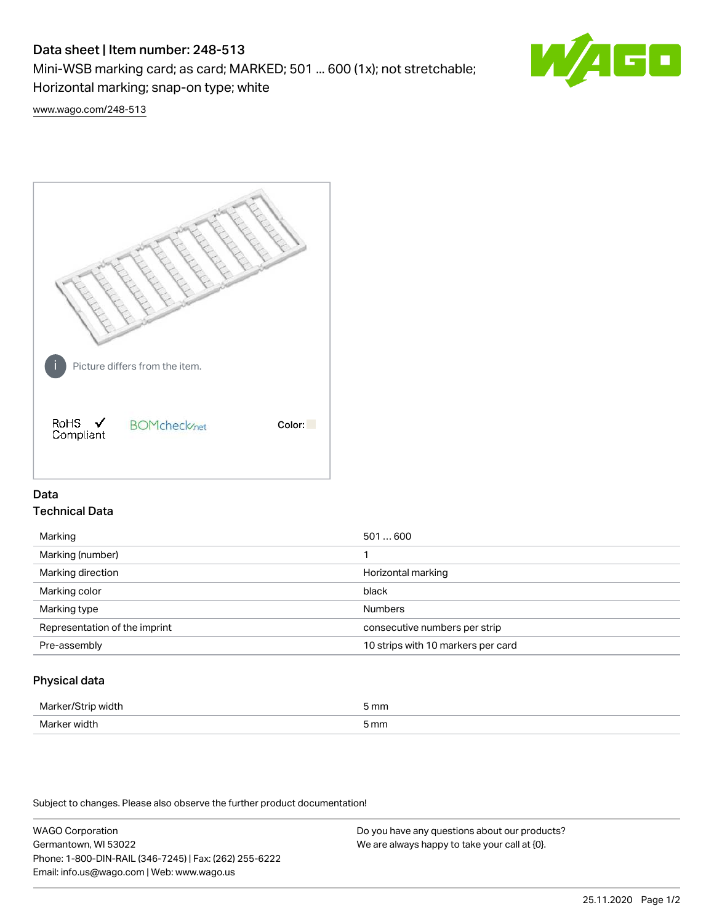# Data sheet | Item number: 248-513

Mini-WSB marking card; as card; MARKED; 501 ... 600 (1x); not stretchable;

Horizontal marking; snap-on type; white



[www.wago.com/248-513](http://www.wago.com/248-513)



## Data Technical Data

| Marking                       | 501600                             |
|-------------------------------|------------------------------------|
| Marking (number)              |                                    |
| Marking direction             | Horizontal marking                 |
| Marking color                 | black                              |
| Marking type                  | <b>Numbers</b>                     |
| Representation of the imprint | consecutive numbers per strip      |
| Pre-assembly                  | 10 strips with 10 markers per card |
|                               |                                    |

## Physical data

| .                  | mm   |
|--------------------|------|
| $ -$               |      |
| Mor<br><b>WINT</b> | 5 mm |

Subject to changes. Please also observe the further product documentation!

WAGO Corporation Germantown, WI 53022 Phone: 1-800-DIN-RAIL (346-7245) | Fax: (262) 255-6222 Email: info.us@wago.com | Web: www.wago.us Do you have any questions about our products? We are always happy to take your call at {0}.

25.11.2020 Page 1/2